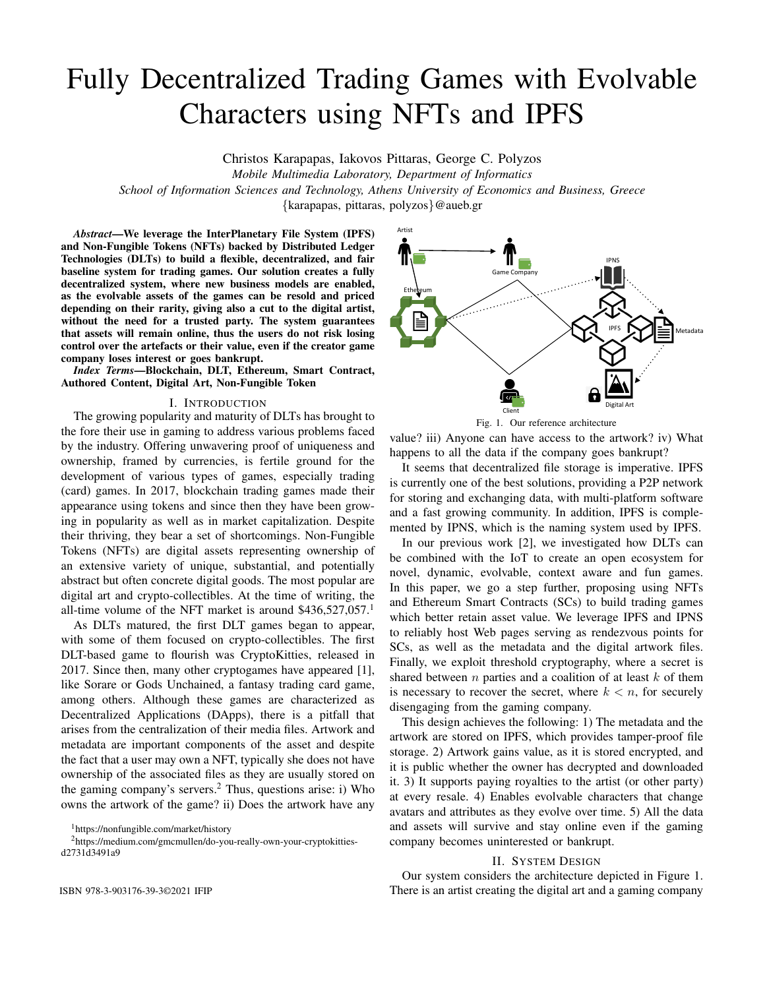# Fully Decentralized Trading Games with Evolvable Characters using NFTs and IPFS

Christos Karapapas, Iakovos Pittaras, George C. Polyzos

*Mobile Multimedia Laboratory, Department of Informatics School of Information Sciences and Technology, Athens University of Economics and Business, Greece*

{karapapas, pittaras, polyzos}@aueb.gr

*Abstract*—We leverage the InterPlanetary File System (IPFS) and Non-Fungible Tokens (NFTs) backed by Distributed Ledger Technologies (DLTs) to build a flexible, decentralized, and fair baseline system for trading games. Our solution creates a fully decentralized system, where new business models are enabled, as the evolvable assets of the games can be resold and priced depending on their rarity, giving also a cut to the digital artist, without the need for a trusted party. The system guarantees that assets will remain online, thus the users do not risk losing control over the artefacts or their value, even if the creator game company loses interest or goes bankrupt.

*Index Terms*—Blockchain, DLT, Ethereum, Smart Contract, Authored Content, Digital Art, Non-Fungible Token

# I. INTRODUCTION

The growing popularity and maturity of DLTs has brought to the fore their use in gaming to address various problems faced by the industry. Offering unwavering proof of uniqueness and ownership, framed by currencies, is fertile ground for the development of various types of games, especially trading (card) games. In 2017, blockchain trading games made their appearance using tokens and since then they have been growing in popularity as well as in market capitalization. Despite their thriving, they bear a set of shortcomings. Non-Fungible Tokens (NFTs) are digital assets representing ownership of an extensive variety of unique, substantial, and potentially abstract but often concrete digital goods. The most popular are digital art and crypto-collectibles. At the time of writing, the all-time volume of the NFT market is around  $$436,527,057$ <sup>1</sup>

As DLTs matured, the first DLT games began to appear, with some of them focused on crypto-collectibles. The first DLT-based game to flourish was CryptoKitties, released in 2017. Since then, many other cryptogames have appeared [1], like Sorare or Gods Unchained, a fantasy trading card game, among others. Although these games are characterized as Decentralized Applications (DApps), there is a pitfall that arises from the centralization of their media files. Artwork and metadata are important components of the asset and despite the fact that a user may own a NFT, typically she does not have ownership of the associated files as they are usually stored on the gaming company's servers.<sup>2</sup> Thus, questions arise: i) Who owns the artwork of the game? ii) Does the artwork have any

<sup>2</sup>https://medium.com/gmcmullen/do-you-really-own-your-cryptokittiesd2731d3491a9



Fig. 1. Our reference architecture

value? iii) Anyone can have access to the artwork? iv) What happens to all the data if the company goes bankrupt?

It seems that decentralized file storage is imperative. IPFS is currently one of the best solutions, providing a P2P network for storing and exchanging data, with multi-platform software and a fast growing community. In addition, IPFS is complemented by IPNS, which is the naming system used by IPFS.

In our previous work [2], we investigated how DLTs can be combined with the IoT to create an open ecosystem for novel, dynamic, evolvable, context aware and fun games. In this paper, we go a step further, proposing using NFTs and Ethereum Smart Contracts (SCs) to build trading games which better retain asset value. We leverage IPFS and IPNS to reliably host Web pages serving as rendezvous points for SCs, as well as the metadata and the digital artwork files. Finally, we exploit threshold cryptography, where a secret is shared between  $n$  parties and a coalition of at least  $k$  of them is necessary to recover the secret, where  $k < n$ , for securely disengaging from the gaming company.

This design achieves the following: 1) The metadata and the artwork are stored on IPFS, which provides tamper-proof file storage. 2) Artwork gains value, as it is stored encrypted, and it is public whether the owner has decrypted and downloaded it. 3) It supports paying royalties to the artist (or other party) at every resale. 4) Enables evolvable characters that change avatars and attributes as they evolve over time. 5) All the data and assets will survive and stay online even if the gaming company becomes uninterested or bankrupt.

## II. SYSTEM DESIGN

Our system considers the architecture depicted in Figure 1. ISBN 978-3-903176-39-3©2021 IFIP There is an artist creating the digital art and a gaming company

<sup>1</sup>https://nonfungible.com/market/history